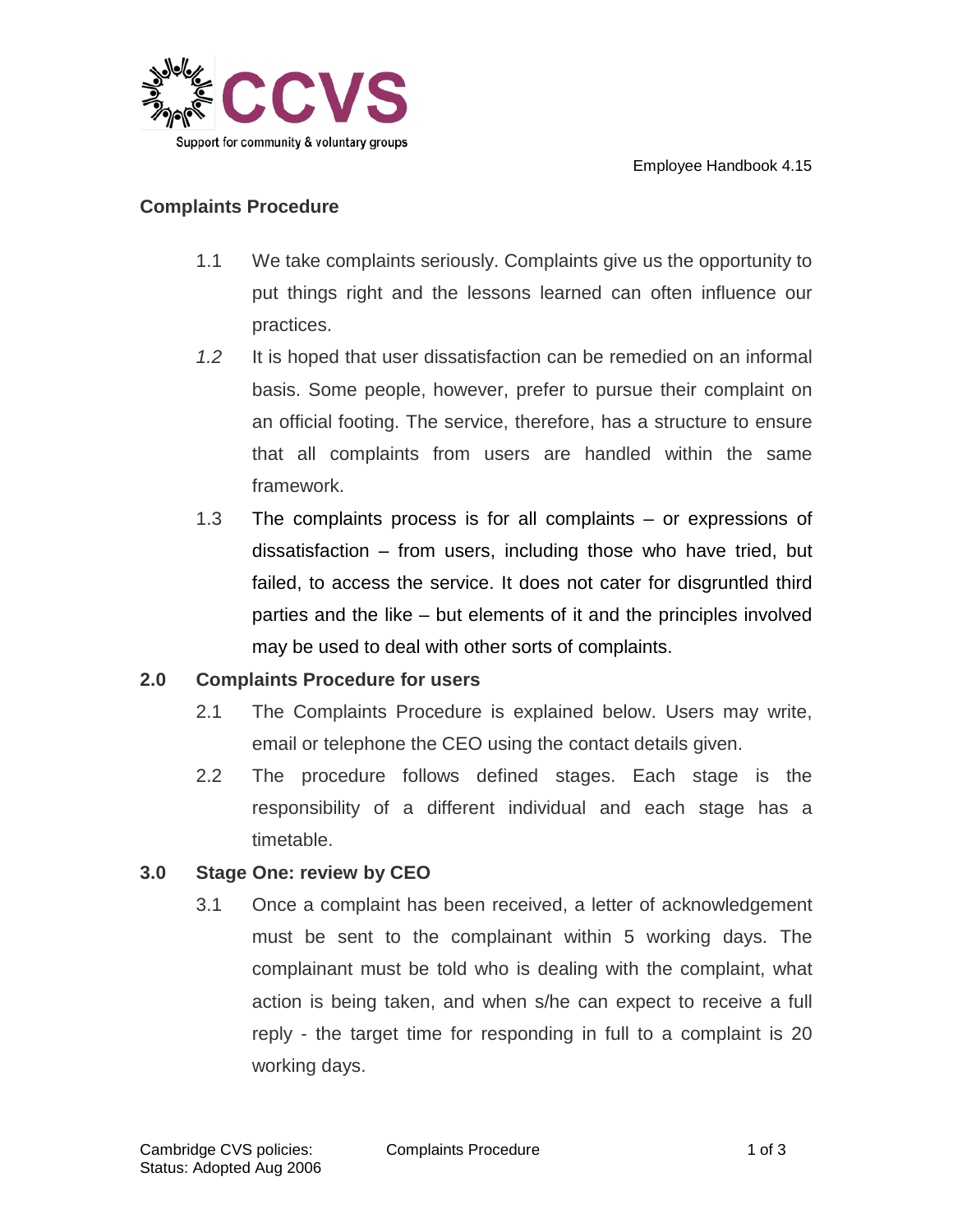

#### **Complaints Procedure**

- 1.1 We take complaints seriously. Complaints give us the opportunity to put things right and the lessons learned can often influence our practices.
- *1.2* It is hoped that user dissatisfaction can be remedied on an informal basis. Some people, however, prefer to pursue their complaint on an official footing. The service, therefore, has a structure to ensure that all complaints from users are handled within the same framework.
- 1.3 The complaints process is for all complaints or expressions of dissatisfaction – from users, including those who have tried, but failed, to access the service. It does not cater for disgruntled third parties and the like – but elements of it and the principles involved may be used to deal with other sorts of complaints.

### **2.0 Complaints Procedure for users**

- 2.1 The Complaints Procedure is explained below. Users may write, email or telephone the CEO using the contact details given.
- 2.2 The procedure follows defined stages. Each stage is the responsibility of a different individual and each stage has a timetable.

# **3.0 Stage One: review by CEO**

3.1 Once a complaint has been received, a letter of acknowledgement must be sent to the complainant within 5 working days. The complainant must be told who is dealing with the complaint, what action is being taken, and when s/he can expect to receive a full reply - the target time for responding in full to a complaint is 20 working days.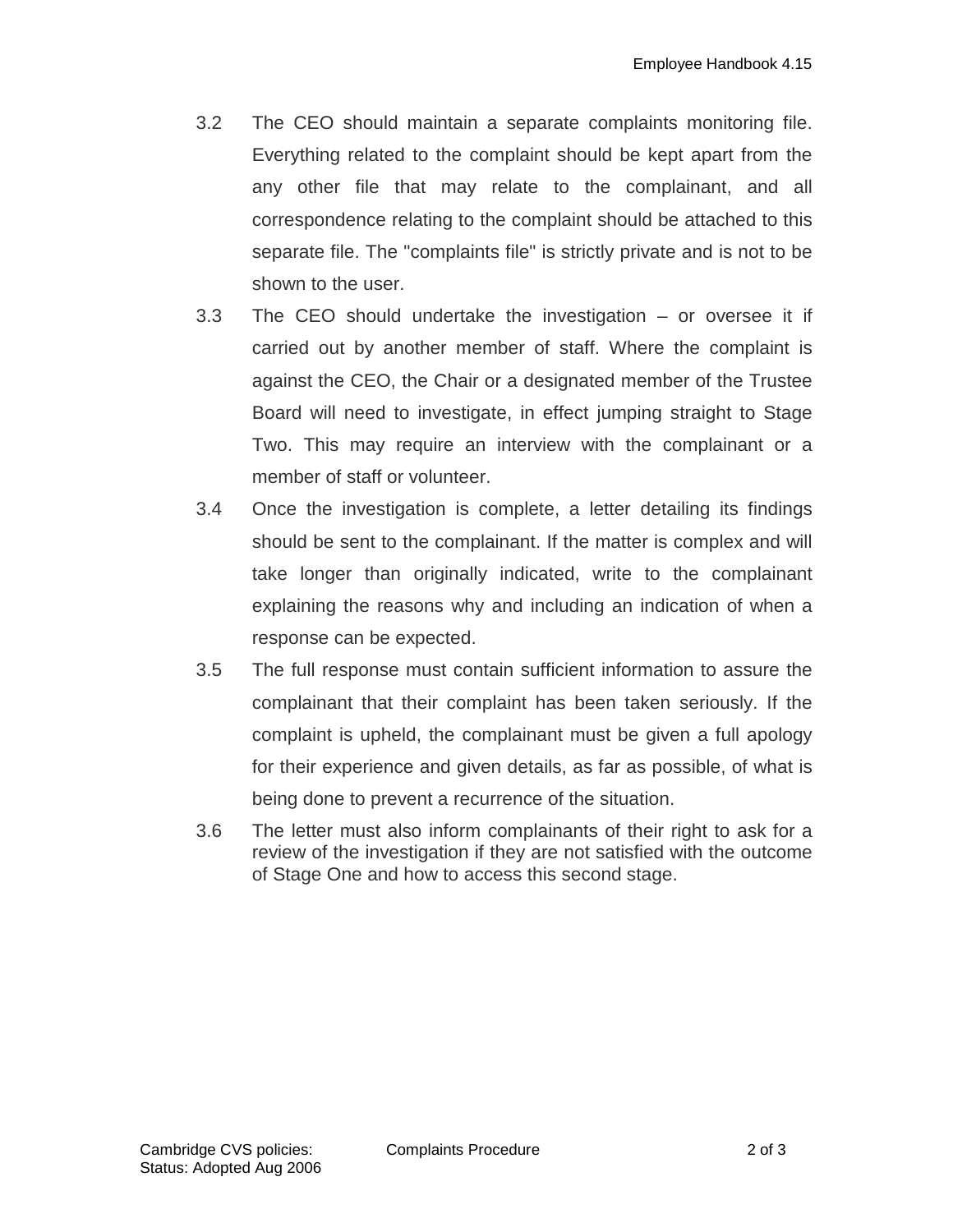- 3.2 The CEO should maintain a separate complaints monitoring file. Everything related to the complaint should be kept apart from the any other file that may relate to the complainant, and all correspondence relating to the complaint should be attached to this separate file. The "complaints file" is strictly private and is not to be shown to the user.
- 3.3 The CEO should undertake the investigation or oversee it if carried out by another member of staff. Where the complaint is against the CEO, the Chair or a designated member of the Trustee Board will need to investigate, in effect jumping straight to Stage Two. This may require an interview with the complainant or a member of staff or volunteer.
- 3.4 Once the investigation is complete, a letter detailing its findings should be sent to the complainant. If the matter is complex and will take longer than originally indicated, write to the complainant explaining the reasons why and including an indication of when a response can be expected.
- 3.5 The full response must contain sufficient information to assure the complainant that their complaint has been taken seriously. If the complaint is upheld, the complainant must be given a full apology for their experience and given details, as far as possible, of what is being done to prevent a recurrence of the situation.
- 3.6 The letter must also inform complainants of their right to ask for a review of the investigation if they are not satisfied with the outcome of Stage One and how to access this second stage.